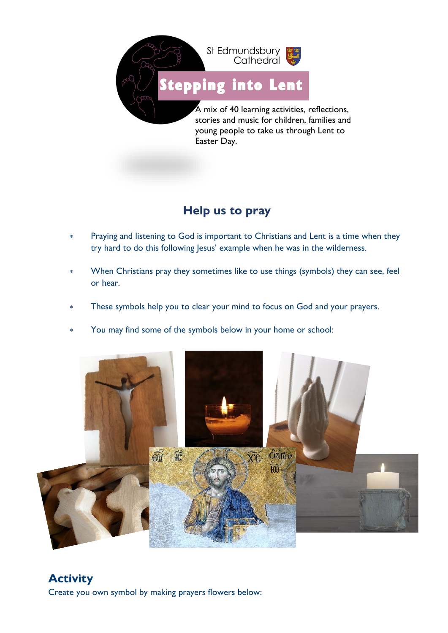

## **Help us to pray**

- Praying and listening to God is important to Christians and Lent is a time when they try hard to do this following Jesus' example when he was in the wilderness.
- When Christians pray they sometimes like to use things (symbols) they can see, feel or hear.
- These symbols help you to clear your mind to focus on God and your prayers.
- You may find some of the symbols below in your home or school: